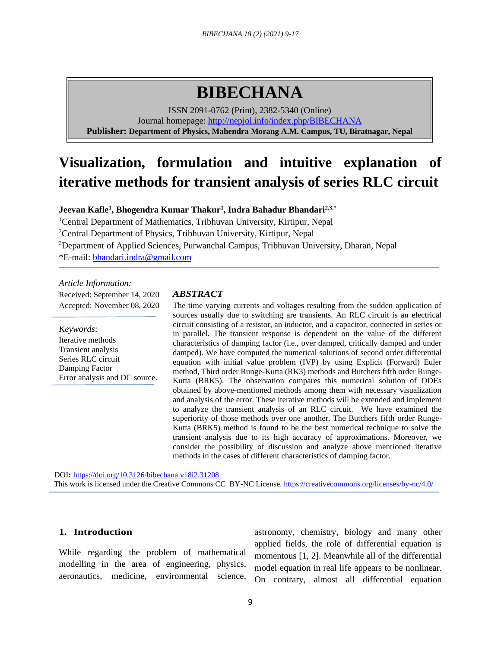# **BIBECHANA**

ISSN 2091-0762 (Print), 2382-5340 (Online) Journal homepage:<http://nepjol.info/index.php/BIBECHANA> **Publisher: Department of Physics, Mahendra Morang A.M. Campus, TU, Biratnagar, Nepal**

# **Visualization, formulation and intuitive explanation of iterative methods for transient analysis of series RLC circuit**

**Jeevan Kafle<sup>1</sup> , Bhogendra Kumar Thakur<sup>1</sup> , Indra Bahadur Bhandari2,3,\***

Central Department of Mathematics, Tribhuvan University, Kirtipur, Nepal Central Department of Physics, Tribhuvan University, Kirtipur, Nepal Department of Applied Sciences, Purwanchal Campus, Tribhuvan University, Dharan, Nepal \*E-mail: [bhandari.indra@gmail.com](mailto:bhandari.indra@gmail.com)

*Article Information:* Received: September 14, 2020 Accepted: November 08, 2020

*Keywords*: Iterative methods Transient analysis Series RLC circuit Damping Factor Error analysis and DC source.

#### *ABSTRACT*

The time varying currents and voltages resulting from the sudden application of sources usually due to switching are transients. An RLC circuit is an electrical circuit consisting of a resistor, an inductor, and a capacitor, connected in series or in parallel. The transient response is dependent on the value of the different characteristics of damping factor (i.e., over damped, critically damped and under damped). We have computed the numerical solutions of second order differential equation with initial value problem (IVP) by using Explicit (Forward) Euler method, Third order Runge-Kutta (RK3) methods and Butchers fifth order Runge-Kutta (BRK5). The observation compares this numerical solution of ODEs obtained by above-mentioned methods among them with necessary visualization and analysis of the error. These iterative methods will be extended and implement to analyze the transient analysis of an RLC circuit. We have examined the superiority of those methods over one another. The Butchers fifth order Runge-Kutta (BRK5) method is found to be the best numerical technique to solve the transient analysis due to its high accuracy of approximations. Moreover, we consider the possibility of discussion and analyze above mentioned iterative methods in the cases of different characteristics of damping factor.

DOI**:** <https://doi.org/10.3126/bibechana.v18i2.31208> This work is licensed under the Creative Commons CC BY-NC License.<https://creativecommons.org/licenses/by-nc/4.0/>

# **1. Introduction**

While regarding the problem of mathematical modelling in the area of engineering, physics, aeronautics, medicine, environmental science,

astronomy, chemistry, biology and many other applied fields, the role of differential equation is momentous [1, 2]. Meanwhile all of the differential model equation in real life appears to be nonlinear. On contrary, almost all differential equation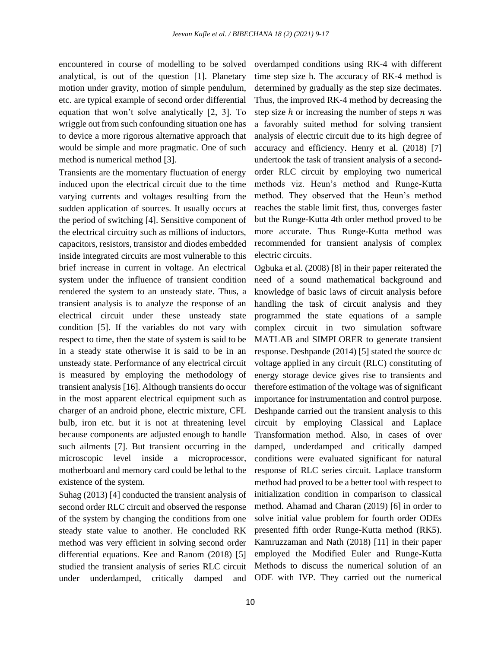encountered in course of modelling to be solved analytical, is out of the question [1]. Planetary motion under gravity, motion of simple pendulum, etc. are typical example of second order differential equation that won't solve analytically [2, 3]. To wriggle out from such confounding situation one has to device a more rigorous alternative approach that would be simple and more pragmatic. One of such method is numerical method [3].

Transients are the momentary fluctuation of energy induced upon the electrical circuit due to the time varying currents and voltages resulting from the sudden application of sources. It usually occurs at the period of switching [4]. Sensitive component of the electrical circuitry such as millions of inductors, capacitors, resistors, transistor and diodes embedded inside integrated circuits are most vulnerable to this brief increase in current in voltage. An electrical system under the influence of transient condition rendered the system to an unsteady state. Thus, a transient analysis is to analyze the response of an electrical circuit under these unsteady state condition [5]. If the variables do not vary with respect to time, then the state of system is said to be in a steady state otherwise it is said to be in an unsteady state. Performance of any electrical circuit is measured by employing the methodology of transient analysis [16]. Although transients do occur in the most apparent electrical equipment such as charger of an android phone, electric mixture, CFL bulb, iron etc. but it is not at threatening level because components are adjusted enough to handle such ailments [7]. But transient occurring in the microscopic level inside a microprocessor, motherboard and memory card could be lethal to the existence of the system.

Suhag (2013) [4] conducted the transient analysis of second order RLC circuit and observed the response of the system by changing the conditions from one steady state value to another. He concluded RK method was very efficient in solving second order differential equations. Kee and Ranom (2018) [5] studied the transient analysis of series RLC circuit under underdamped, critically damped and

overdamped conditions using RK-4 with different time step size h. The accuracy of RK-4 method is determined by gradually as the step size decimates. Thus, the improved RK-4 method by decreasing the step size  $h$  or increasing the number of steps  $n$  was a favorably suited method for solving transient analysis of electric circuit due to its high degree of accuracy and efficiency. Henry et al. (2018) [7] undertook the task of transient analysis of a secondorder RLC circuit by employing two numerical methods viz. Heun's method and Runge-Kutta method. They observed that the Heun's method reaches the stable limit first, thus, converges faster but the Runge-Kutta 4th order method proved to be more accurate. Thus Runge-Kutta method was recommended for transient analysis of complex electric circuits.

Ogbuka et al. (2008) [8] in their paper reiterated the need of a sound mathematical background and knowledge of basic laws of circuit analysis before handling the task of circuit analysis and they programmed the state equations of a sample complex circuit in two simulation software MATLAB and SIMPLORER to generate transient response. Deshpande (2014) [5] stated the source dc voltage applied in any circuit (RLC) constituting of energy storage device gives rise to transients and therefore estimation of the voltage was of significant importance for instrumentation and control purpose. Deshpande carried out the transient analysis to this circuit by employing Classical and Laplace Transformation method. Also, in cases of over damped, underdamped and critically damped conditions were evaluated significant for natural response of RLC series circuit. Laplace transform method had proved to be a better tool with respect to initialization condition in comparison to classical method. Ahamad and Charan (2019) [6] in order to solve initial value problem for fourth order ODEs presented fifth order Runge-Kutta method (RK5). Kamruzzaman and Nath (2018) [11] in their paper employed the Modified Euler and Runge-Kutta Methods to discuss the numerical solution of an ODE with IVP. They carried out the numerical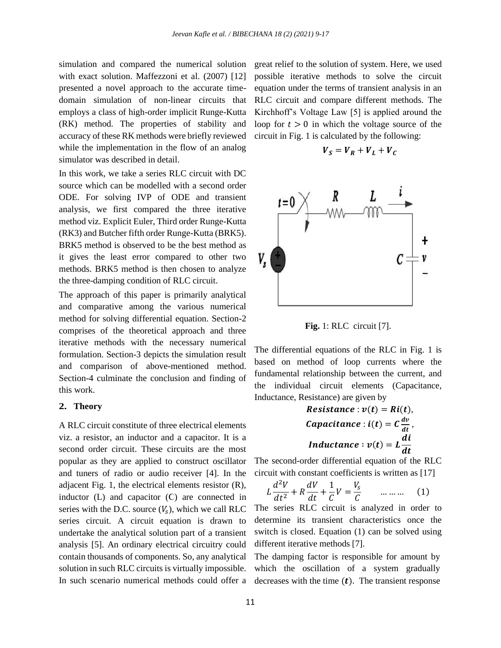simulation and compared the numerical solution with exact solution. Maffezzoni et al. (2007) [12] presented a novel approach to the accurate timedomain simulation of non-linear circuits that employs a class of high-order implicit Runge-Kutta (RK) method. The properties of stability and accuracy of these RK methods were briefly reviewed while the implementation in the flow of an analog simulator was described in detail.

In this work, we take a series RLC circuit with DC source which can be modelled with a second order ODE. For solving IVP of ODE and transient analysis, we first compared the three iterative method viz. Explicit Euler, Third order Runge-Kutta (RK3) and Butcher fifth order Runge-Kutta (BRK5). BRK5 method is observed to be the best method as it gives the least error compared to other two methods. BRK5 method is then chosen to analyze the three-damping condition of RLC circuit.

The approach of this paper is primarily analytical and comparative among the various numerical method for solving differential equation. Section-2 comprises of the theoretical approach and three iterative methods with the necessary numerical formulation. Section-3 depicts the simulation result and comparison of above-mentioned method. Section-4 culminate the conclusion and finding of this work.

#### **2. Theory**

A RLC circuit constitute of three electrical elements viz. a resistor, an inductor and a capacitor. It is a second order circuit. These circuits are the most popular as they are applied to construct oscillator and tuners of radio or audio receiver [4]. In the adjacent Fig. 1, the electrical elements resistor (R), inductor (L) and capacitor (Ϲ) are connected in series with the D.C. source  $(V<sub>s</sub>)$ , which we call RLC series circuit. A circuit equation is drawn to undertake the analytical solution part of a transient analysis [5]. An ordinary electrical circuitry could contain thousands of components. So, any analytical solution in such RLC circuits is virtually impossible. In such scenario numerical methods could offer a

great relief to the solution of system. Here, we used possible iterative methods to solve the circuit equation under the terms of transient analysis in an RLC circuit and compare different methods. The Kirchhoff's Voltage Law [5] is applied around the loop for  $t > 0$  in which the voltage source of the circuit in Fig. 1 is calculated by the following:

$$
V_S = V_R + V_L + V_C
$$



**Fig.** 1: RLC circuit [7].

The differential equations of the RLC in Fig. 1 is based on method of loop currents where the fundamental relationship between the current, and the individual circuit elements (Capacitance, Inductance, Resistance) are given by

> $Resistance : v(t) = Ri(t),$ Capacitance : i(t) = C $\frac{dv}{dt}$ , *Inductance* :  $v(t) = L$ di  $\boldsymbol{dt}$

The second-order differential equation of the RLC circuit with constant coefficients is written as [17]

$$
L\frac{d^2V}{dt^2} + R\frac{dV}{dt} + \frac{1}{C}V = \frac{V_s}{C} \qquad \dots \dots \dots \tag{1}
$$

The series RLC circuit is analyzed in order to determine its transient characteristics once the switch is closed. Equation (1) can be solved using different iterative methods [7].

The damping factor is responsible for amount by which the oscillation of a system gradually decreases with the time  $(t)$ . The transient response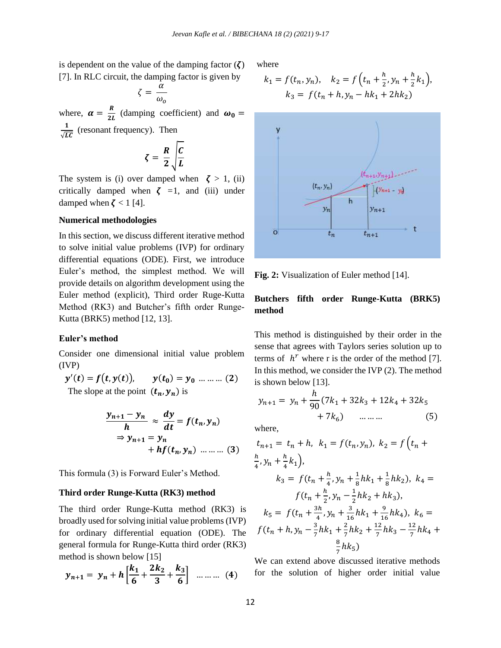is dependent on the value of the damping factor  $(\zeta)$ [7]. In RLC circuit, the damping factor is given by

$$
\zeta = \frac{\alpha}{\omega_o}
$$

where,  $\alpha = \frac{R}{2l}$  $\frac{\Delta}{2L}$  (damping coefficient) and  $\omega_0 =$ 1  $\frac{1}{\sqrt{LC}}$  (resonant frequency). Then

$$
\zeta = \frac{R}{2} \sqrt{\frac{C}{L}}
$$

The system is (i) over damped when  $\zeta > 1$ , (ii) critically damped when  $\zeta = 1$ , and (iii) under damped when  $\zeta$  < 1 [4].

#### **Numerical methodologies**

In this section, we discuss different iterative method to solve initial value problems (IVP) for ordinary differential equations (ODE). First, we introduce Euler's method, the simplest method. We will provide details on algorithm development using the Euler method (explicit), Third order Ruge-Kutta Method (RK3) and Butcher's fifth order Runge-Kutta (BRK5) method [12, 13].

#### **Euler's method**

Consider one dimensional initial value problem (IVP)

$$
y'(t) = f(t, y(t)), \qquad y(t_0) = y_0 \dots \dots \dots (2)
$$
  
The slope at the point  $(t_n, y_n)$  is

$$
\frac{y_{n+1} - y_n}{h} \approx \frac{dy}{dt} = f(t_n, y_n)
$$
  
\n
$$
\Rightarrow y_{n+1} = y_n
$$
  
\n
$$
+ hf(t_n, y_n) \dots \dots \dots (3)
$$

This formula (3) is Forward Euler's Method.

#### **Third order Runge-Kutta (RK3) method**

The third order Runge-Kutta method (RK3) is broadly used for solving initial value problems (IVP) for ordinary differential equation (ODE). The general formula for Runge-Kutta third order (RK3) method is shown below [15]

$$
y_{n+1} = y_n + h \left[ \frac{k_1}{6} + \frac{2k_2}{3} + \frac{k_3}{6} \right] \dots \dots \dots \tag{4}
$$

where

$$
k_1 = f(t_n, y_n), \quad k_2 = f\left(t_n + \frac{h}{2}, y_n + \frac{h}{2}k_1\right),
$$

$$
k_3 = f(t_n + h, y_n - hk_1 + 2hk_2)
$$



**Fig. 2:** Visualization of Euler method [14].

# **Butchers fifth order Runge-Kutta (BRK5) method**

This method is distinguished by their order in the sense that agrees with Taylors series solution up to terms of  $h^r$  where r is the order of the method [7]. In this method, we consider the IVP (2). The method is shown below [13].

$$
y_{n+1} = y_n + \frac{h}{90}(7k_1 + 32k_3 + 12k_4 + 32k_5 + 7k_6)
$$
 (5)

where,

$$
t_{n+1} = t_n + h, \ k_1 = f(t_n, y_n), \ k_2 = f(t_n + \frac{h}{4}, y_n + \frac{h}{4}k_1),
$$
  
\n
$$
k_3 = f(t_n + \frac{h}{4}, y_n + \frac{1}{8}hk_1 + \frac{1}{8}hk_2), \ k_4 = f(t_n + \frac{h}{2}, y_n - \frac{1}{2}hk_2 + hk_3),
$$
  
\n
$$
k_5 = f(t_n + \frac{3h}{4}, y_n + \frac{3}{16}hk_1 + \frac{9}{16}hk_4), \ k_6 = f(t_n + h, y_n - \frac{3}{7}hk_1 + \frac{2}{7}hk_2 + \frac{12}{7}hk_3 - \frac{12}{7}hk_4 + \frac{8}{7}hk_5)
$$

We can extend above discussed iterative methods for the solution of higher order initial value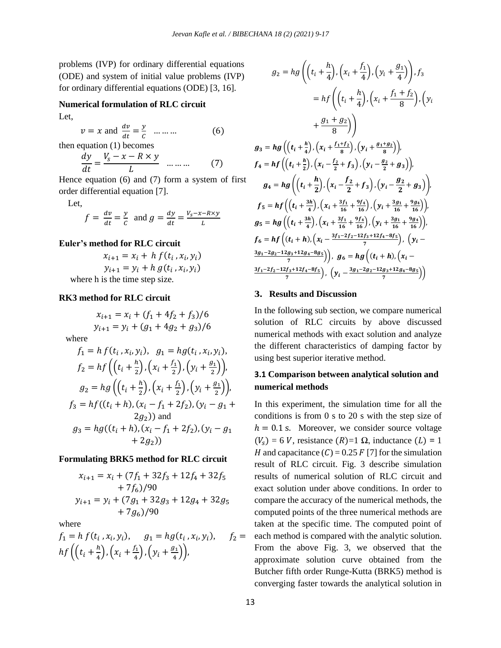problems (IVP) for ordinary differential equations (ODE) and system of initial value problems (IVP) for ordinary differential equations (ODE) [3, 16].

# **Numerical formulation of RLC circuit**

Let,

 $v = x$  and  $\frac{dv}{dt} = \frac{y}{c}$  $\frac{y}{c}$  … … (6) then equation (1) becomes

$$
\frac{dy}{dt} = \frac{V_s - x - R \times y}{L} \quad \dots \dots \tag{7}
$$

Hence equation (6) and (7) form a system of first order differential equation [7].

Let,

$$
f = \frac{dv}{dt} = \frac{y}{c}
$$
 and  $g = \frac{dy}{dt} = \frac{V_s - x - R \times y}{L}$ 

#### **Euler's method for RLC circuit**

$$
x_{i+1} = x_i + h f(t_i, x_i, y_i)
$$
  

$$
y_{i+1} = y_i + h g(t_i, x_i, y_i)
$$
  
where h is the time step size.

#### **RK3 method for RLC circuit**

$$
x_{i+1} = x_i + (f_1 + 4f_2 + f_3)/6
$$
  
\n
$$
y_{i+1} = y_i + (g_1 + 4g_2 + g_3)/6
$$
  
\nwhere  
\n
$$
f_1 = h f(t_i, x_i, y_i), g_1 = h g(t_i, x_i, y_i),
$$
  
\n
$$
f_2 = h f\left(\left(t_i + \frac{h}{2}\right), \left(x_i + \frac{f_1}{2}\right), \left(y_i + \frac{g_1}{2}\right)\right),
$$
  
\n
$$
g_2 = h g\left(\left(t_i + \frac{h}{2}\right), \left(x_i + \frac{f_1}{2}\right), \left(y_i + \frac{g_1}{2}\right)\right),
$$
  
\n
$$
f_3 = h f((t_i + h), (x_i - f_1 + 2f_2), (y_i - g_1 - f_2))
$$

 $2g_2$ ) and  $g_3 = hg((t_i + h), (x_i - f_1 + 2f_2), (y_i - g_1))$  $+ 2g_2$ )

# **Formulating BRK5 method for RLC circuit**

$$
x_{i+1} = x_i + (7f_1 + 32f_3 + 12f_4 + 32f_5
$$
  
+ 7f<sub>6</sub>)/90  

$$
y_{i+1} = y_i + (7g_1 + 32g_3 + 12g_4 + 32g_5
$$
  
+ 7g<sub>6</sub>)/90

where

$$
f_1 = h f(t_i, x_i, y_i), \quad g_1 = h g(t_i, x_i, y_i), \quad f_2 = h f\left(\left(t_i + \frac{h}{4}\right), \left(x_i + \frac{f_1}{4}\right), \left(y_i + \frac{g_1}{4}\right)\right),
$$

$$
g_2 = hg\left(\left(t_i + \frac{h}{4}\right), \left(x_i + \frac{f_1}{4}\right), \left(y_i + \frac{g_1}{4}\right)\right), f_3
$$
  
\n
$$
= hf\left(\left(t_i + \frac{h}{4}\right), \left(x_i + \frac{f_1 + f_2}{8}\right), \left(y_i + \frac{g_1 + g_2}{8}\right)\right)
$$
  
\n
$$
+ \frac{g_1 + g_2}{8}\right)
$$
  
\n
$$
g_3 = hg\left(\left(t_i + \frac{h}{4}\right), \left(x_i + \frac{f_1 + f_2}{8}\right), \left(y_i + \frac{g_1 + g_2}{8}\right)\right)
$$
  
\n
$$
f_4 = hf\left(\left(t_i + \frac{h}{2}\right), \left(x_i - \frac{f_2}{2} + f_3\right), \left(y_i - \frac{g_2}{2} + g_3\right)\right)
$$
  
\n
$$
g_4 = hg\left(\left(t_i + \frac{h}{2}\right), \left(x_i - \frac{f_2}{2} + f_3\right), \left(y_i - \frac{g_2}{2} + g_3\right)\right)
$$
  
\n
$$
f_5 = hf\left(\left(t_i + \frac{3h}{4}\right), \left(x_i + \frac{3f_1}{16} + \frac{9f_4}{16}\right), \left(y_i + \frac{3g_1}{16} + \frac{9g_4}{16}\right)\right)
$$
  
\n
$$
g_5 = hg\left(\left(t_i + \frac{3h}{4}\right), \left(x_i + \frac{3f_1}{16} + \frac{9f_4}{16}\right), \left(y_i + \frac{3g_1}{16} + \frac{9g_4}{16}\right)\right)
$$
  
\n
$$
f_6 = hf\left(\left(t_i + h\right), \left(x_i - \frac{3f_1 - 2f_2 - 12f_3 + 12f_4 - 8f_5}{7}\right), \left(y_i - \frac{3g_1 - 2g_2 - 12g_3 + 12g_4 - 8g_5}{7}\right)
$$
  
\n
$$
\frac{3f_1 - 2f_2 - 12f_3 + 12f_4 - 8f_5}{7}\right), \left(y_i - \frac{3g_1 - 2g_2 - 12g_3
$$

#### **3. Results and Discussion**

In the following sub section, we compare numerical solution of RLC circuits by above discussed numerical methods with exact solution and analyze the different characteristics of damping factor by using best superior iterative method.

# **3.1 Comparison between analytical solution and numerical methods**

),  $f_2 =$  each method is compared with the analytic solution. In this experiment, the simulation time for all the conditions is from 0 s to 20 s with the step size of  $h = 0.1$  s. Moreover, we consider source voltage  $(V_s) = 6 V$ , resistance  $(R)=1 \Omega$ , inductance  $(L) = 1$ H and capacitance  $(C) = 0.25 F$  [7] for the simulation result of RLC circuit. Fig. 3 describe simulation results of numerical solution of RLC circuit and exact solution under above conditions. In order to compare the accuracy of the numerical methods, the computed points of the three numerical methods are taken at the specific time. The computed point of From the above Fig. 3, we observed that the approximate solution curve obtained from the Butcher fifth order Runge-Kutta (BRK5) method is converging faster towards the analytical solution in

 $+$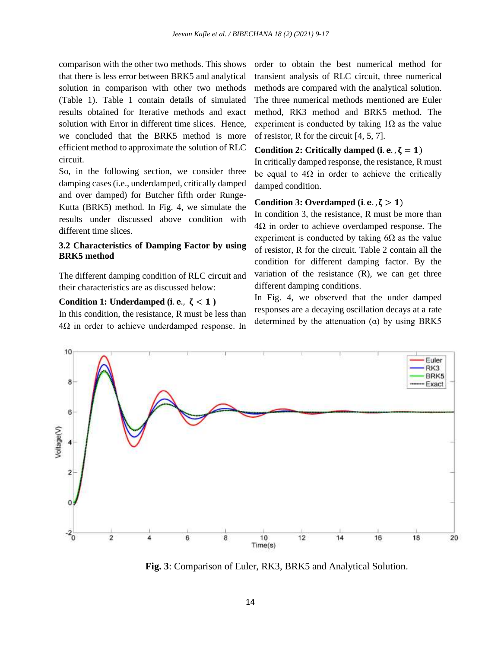comparison with the other two methods. This shows that there is less error between BRK5 and analytical solution in comparison with other two methods (Table 1). Table 1 contain details of simulated results obtained for Iterative methods and exact solution with Error in different time slices. Hence, we concluded that the BRK5 method is more efficient method to approximate the solution of RLC circuit.

So, in the following section, we consider three damping cases (i.e., underdamped, critically damped and over damped) for Butcher fifth order Runge-Kutta (BRK5) method. In Fig. 4, we simulate the results under discussed above condition with different time slices.

# **3.2 Characteristics of Damping Factor by using BRK5 method**

The different damping condition of RLC circuit and their characteristics are as discussed below:

#### Condition 1: Underdamped (i.e.,  $\zeta$  < 1)

In this condition, the resistance, R must be less than  $4\Omega$  in order to achieve underdamped response. In order to obtain the best numerical method for transient analysis of RLC circuit, three numerical methods are compared with the analytical solution. The three numerical methods mentioned are Euler method, RK3 method and BRK5 method. The experiment is conducted by taking  $1\Omega$  as the value of resistor, R for the circuit [4, 5, 7].

#### Condition 2: Critically damped  $(i, e, \zeta = 1)$

In critically damped response, the resistance, R must be equal to  $4\Omega$  in order to achieve the critically damped condition.

# Condition 3: Overdamped (i. e.,  $\zeta > 1$ )

In condition 3, the resistance, R must be more than  $4\Omega$  in order to achieve overdamped response. The experiment is conducted by taking  $6\Omega$  as the value of resistor, R for the circuit. Table 2 contain all the condition for different damping factor. By the variation of the resistance  $(R)$ , we can get three different damping conditions.

In Fig. 4, we observed that the under damped responses are a decaying oscillation decays at a rate determined by the attenuation  $(\alpha)$  by using BRK5



**Fig. 3**: Comparison of Euler, RK3, BRK5 and Analytical Solution.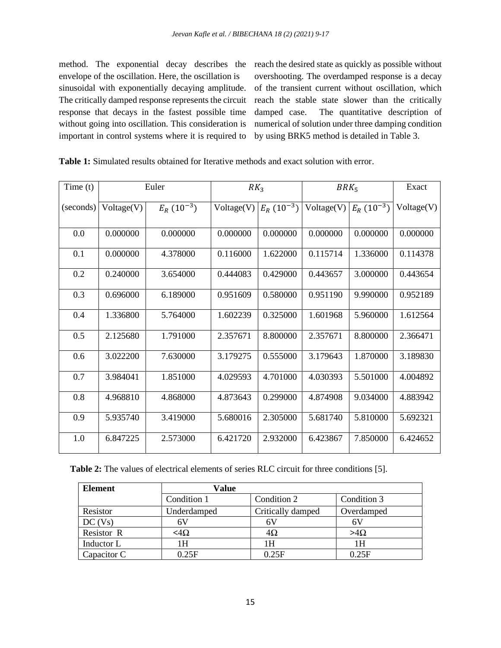method. The exponential decay describes the reach the desired state as quickly as possible without envelope of the oscillation. Here, the oscillation is sinusoidal with exponentially decaying amplitude. The critically damped response represents the circuit response that decays in the fastest possible time without going into oscillation. This consideration is important in control systems where it is required to

overshooting. The overdamped response is a decay of the transient current without oscillation, which reach the stable state slower than the critically damped case. The quantitative description of numerical of solution under three damping condition by using BRK5 method is detailed in Table 3.

| Time(t)   | Euler      |                | RK <sub>3</sub> |                | $BRK_5$    |                | Exact      |
|-----------|------------|----------------|-----------------|----------------|------------|----------------|------------|
| (seconds) | Voltage(V) | $E_R(10^{-3})$ | Voltage(V)      | $E_R(10^{-3})$ | Voltage(V) | $E_R(10^{-3})$ | Voltage(V) |
| 0.0       | 0.000000   | 0.000000       | 0.000000        | 0.000000       | 0.000000   | 0.000000       | 0.000000   |
| 0.1       | 0.000000   | 4.378000       | 0.116000        | 1.622000       | 0.115714   | 1.336000       | 0.114378   |
| 0.2       | 0.240000   | 3.654000       | 0.444083        | 0.429000       | 0.443657   | 3.000000       | 0.443654   |
| 0.3       | 0.696000   | 6.189000       | 0.951609        | 0.580000       | 0.951190   | 9.990000       | 0.952189   |
| 0.4       | 1.336800   | 5.764000       | 1.602239        | 0.325000       | 1.601968   | 5.960000       | 1.612564   |
| 0.5       | 2.125680   | 1.791000       | 2.357671        | 8.800000       | 2.357671   | 8.800000       | 2.366471   |
| 0.6       | 3.022200   | 7.630000       | 3.179275        | 0.555000       | 3.179643   | 1.870000       | 3.189830   |
| 0.7       | 3.984041   | 1.851000       | 4.029593        | 4.701000       | 4.030393   | 5.501000       | 4.004892   |
| 0.8       | 4.968810   | 4.868000       | 4.873643        | 0.299000       | 4.874908   | 9.034000       | 4.883942   |
| 0.9       | 5.935740   | 3.419000       | 5.680016        | 2.305000       | 5.681740   | 5.810000       | 5.692321   |
| 1.0       | 6.847225   | 2.573000       | 6.421720        | 2.932000       | 6.423867   | 7.850000       | 6.424652   |

**Table 1:** Simulated results obtained for Iterative methods and exact solution with error.

**Table 2:** The values of electrical elements of series RLC circuit for three conditions [5].

| <b>Element</b> | Value          |                   |             |  |
|----------------|----------------|-------------------|-------------|--|
|                | Condition 1    | Condition 2       | Condition 3 |  |
| Resistor       | Underdamped    | Critically damped | Overdamped  |  |
| DC (Vs)        | 6 V            | 6V                | 6 V         |  |
| Resistor R     | $<$ 4 $\Omega$ | 4Ω                | $>4\Omega$  |  |
| Inductor L     | 1 H            | ١H                | 1H          |  |
| Capacitor C    | 0.25F          | 0.25F             | 0.25F       |  |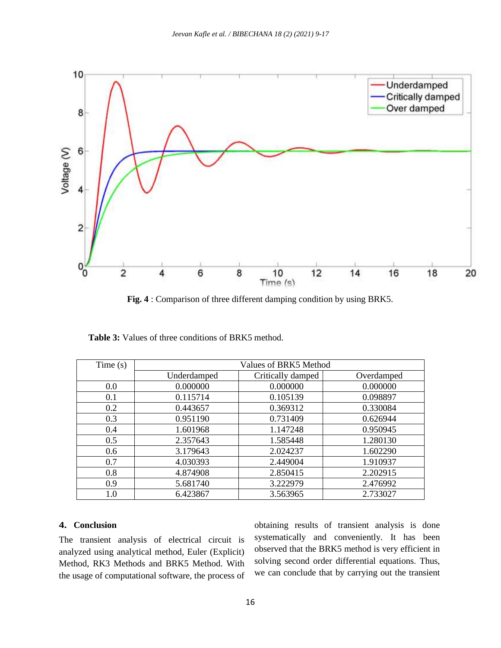

 **Fig. 4** : Comparison of three different damping condition by using BRK5.

| Time $(s)$ | Values of BRK5 Method |                   |            |  |  |  |
|------------|-----------------------|-------------------|------------|--|--|--|
|            | Underdamped           | Critically damped | Overdamped |  |  |  |
| 0.0        | 0.000000              | 0.000000          | 0.000000   |  |  |  |
| 0.1        | 0.115714              | 0.105139          | 0.098897   |  |  |  |
| 0.2        | 0.443657              | 0.369312          | 0.330084   |  |  |  |
| 0.3        | 0.951190              | 0.731409          | 0.626944   |  |  |  |
| 0.4        | 1.601968              | 1.147248          | 0.950945   |  |  |  |
| 0.5        | 2.357643              | 1.585448          | 1.280130   |  |  |  |
| 0.6        | 3.179643              | 2.024237          | 1.602290   |  |  |  |
| 0.7        | 4.030393              | 2.449004          | 1.910937   |  |  |  |
| 0.8        | 4.874908              | 2.850415          | 2.202915   |  |  |  |
| 0.9        | 5.681740              | 3.222979          | 2.476992   |  |  |  |
| $1.0\,$    | 6.423867              | 3.563965          | 2.733027   |  |  |  |

Table 3: Values of three conditions of BRK5 method.

### **4. Conclusion**

The transient analysis of electrical circuit is analyzed using analytical method, Euler (Explicit) Method, RK3 Methods and BRK5 Method. With the usage of computational software, the process of obtaining results of transient analysis is done systematically and conveniently. It has been observed that the BRK5 method is very efficient in solving second order differential equations. Thus, we can conclude that by carrying out the transient